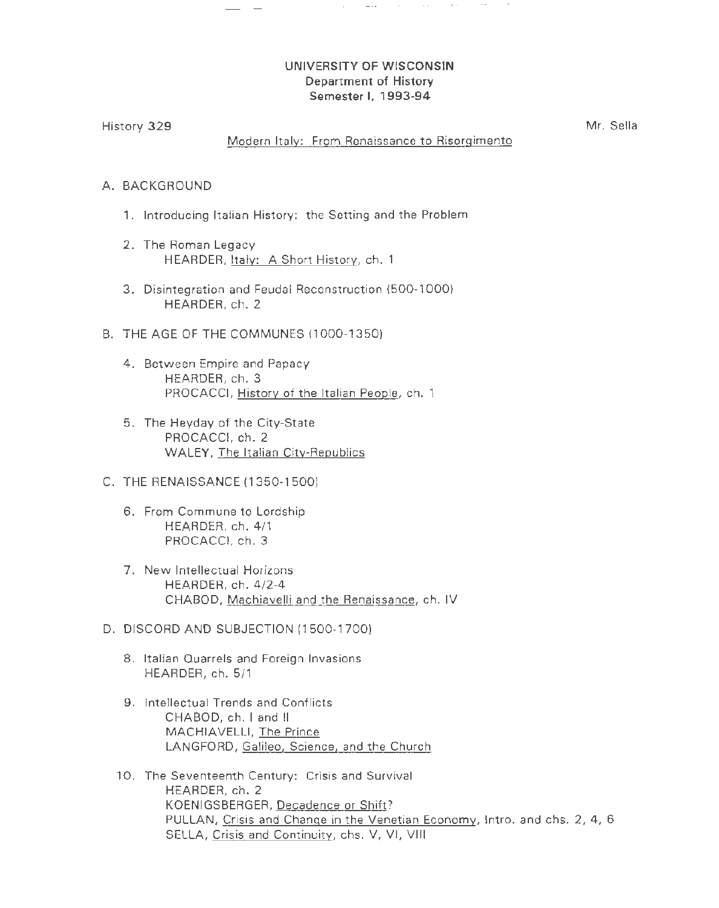## UNIVERSITY OF WISCONSIN Department of History Semester I, 1993-94

. The set of  $\mathcal{O}_\mathbb{Z}$  is a set of  $\mathcal{O}_\mathbb{Z}$ 

History 329

Mr. Sella

## Modern Italy: From Renaissance to Risorgimento

## A. BACKGROUND

- 1. Introducing Italian History: the Setting and the Problem
- 2. The Roman Legacy HEARDER, Italy: A Short History, ch. 1
- 3. Disintegration and Feudal Reconstruction (500-1 000) HEARDER, ch. 2
- B. THE AGE OF THE COMMUNES (1 000-1350)
	- 4. Between Empire and Papacy HEARDER, ch. 3 PROCACCI, History of the Italian People, ch. 1
	- 5. The Heyday of the City-State PROCACCI, ch. 2 WALEY, The Italian City-Republics
- C. THE RENAISSANCE ( 1350-1500)
	- 6. From Commune to Lordship HEARDER, ch. 4/1 PROCACCI, ch. 3
	- 7. New Intellectual Horizons HEARDER, ch. 4/2-4 CHABOD, Machiavelli and the Renaissance, ch. IV
- D. DISCORD AND SUBJECTION (1500-1700)
	- 8. Italian Quarrels and Foreign Invasions HEARDER, ch. 511
	- 9. Intellectual Trends and Conflicts CHABOD, ch. I and II MACHIAVELLI, The Prince LANGFORD, Galileo, Science, and the Church
	- 10. The Seventeenth Century: Crisis and Survival HEARDER,ch. 2 KOENIGSBERGER, Decadence or Shift? PULLAN, Crisis and Change in the Venetian Economy, lntro. and chs. 2, 4, 6 SELLA, Crisis and Continuity, chs. V, VI, VIII